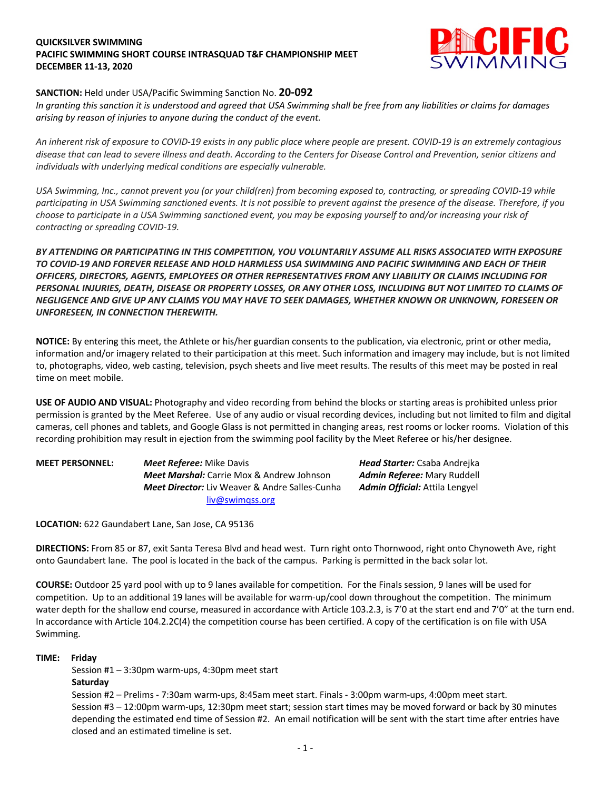## **QUICKSILVER SWIMMING PACIFIC SWIMMING SHORT COURSE INTRASQUAD T&F CHAMPIONSHIP MEET DECEMBER 11-13, 2020**



## **SANCTION:** Held under USA/Pacific Swimming Sanction No. **20-092**

*In granting this sanction it is understood and agreed that USA Swimming shall be free from any liabilities or claims for damages arising by reason of injuries to anyone during the conduct of the event.* 

*An inherent risk of exposure to COVID-19 exists in any public place where people are present. COVID-19 is an extremely contagious disease that can lead to severe illness and death. According to the Centers for Disease Control and Prevention, senior citizens and individuals with underlying medical conditions are especially vulnerable.*

*USA Swimming, Inc., cannot prevent you (or your child(ren) from becoming exposed to, contracting, or spreading COVID-19 while participating in USA Swimming sanctioned events. It is not possible to prevent against the presence of the disease. Therefore, if you choose to participate in a USA Swimming sanctioned event, you may be exposing yourself to and/or increasing your risk of contracting or spreading COVID-19.*

*BY ATTENDING OR PARTICIPATING IN THIS COMPETITION, YOU VOLUNTARILY ASSUME ALL RISKS ASSOCIATED WITH EXPOSURE TO COVID-19 AND FOREVER RELEASE AND HOLD HARMLESS USA SWIMMING AND PACIFIC SWIMMING AND EACH OF THEIR OFFICERS, DIRECTORS, AGENTS, EMPLOYEES OR OTHER REPRESENTATIVES FROM ANY LIABILITY OR CLAIMS INCLUDING FOR PERSONAL INJURIES, DEATH, DISEASE OR PROPERTY LOSSES, OR ANY OTHER LOSS, INCLUDING BUT NOT LIMITED TO CLAIMS OF NEGLIGENCE AND GIVE UP ANY CLAIMS YOU MAY HAVE TO SEEK DAMAGES, WHETHER KNOWN OR UNKNOWN, FORESEEN OR UNFORESEEN, IN CONNECTION THEREWITH.*

**NOTICE:** By entering this meet, the Athlete or his/her guardian consents to the publication, via electronic, print or other media, information and/or imagery related to their participation at this meet. Such information and imagery may include, but is not limited to, photographs, video, web casting, television, psych sheets and live meet results. The results of this meet may be posted in real time on meet mobile.

**USE OF AUDIO AND VISUAL:** Photography and video recording from behind the blocks or starting areas is prohibited unless prior permission is granted by the Meet Referee. Use of any audio or visual recording devices, including but not limited to film and digital cameras, cell phones and tablets, and Google Glass is not permitted in changing areas, rest rooms or locker rooms. Violation of this recording prohibition may result in ejection from the swimming pool facility by the Meet Referee or his/her designee.

**MEET PERSONNEL:** *Meet Referee:* Mike Davis *Head Starter:* Csaba Andrejka *Meet Marshal:* Carrie Mox & Andrew Johnson *Admin Referee:* Mary Ruddell *Meet Director:* Liv Weaver & Andre Salles-Cunha *Admin Official:* Attila Lengyel liv@swimqss.org

**LOCATION:** 622 Gaundabert Lane, San Jose, CA 95136

**DIRECTIONS:** From 85 or 87, exit Santa Teresa Blvd and head west. Turn right onto Thornwood, right onto Chynoweth Ave, right onto Gaundabert lane. The pool is located in the back of the campus. Parking is permitted in the back solar lot.

**COURSE:** Outdoor 25 yard pool with up to 9 lanes available for competition. For the Finals session, 9 lanes will be used for competition. Up to an additional 19 lanes will be available for warm-up/cool down throughout the competition. The minimum water depth for the shallow end course, measured in accordance with Article 103.2.3, is 7'0 at the start end and 7'0" at the turn end. In accordance with Article 104.2.2C(4) the competition course has been certified. A copy of the certification is on file with USA Swimming.

### **TIME: Friday**

Session #1 – 3:30pm warm-ups, 4:30pm meet start **Saturday**

Session #2 – Prelims - 7:30am warm-ups, 8:45am meet start. Finals - 3:00pm warm-ups, 4:00pm meet start. Session #3 – 12:00pm warm-ups, 12:30pm meet start; session start times may be moved forward or back by 30 minutes depending the estimated end time of Session #2. An email notification will be sent with the start time after entries have closed and an estimated timeline is set.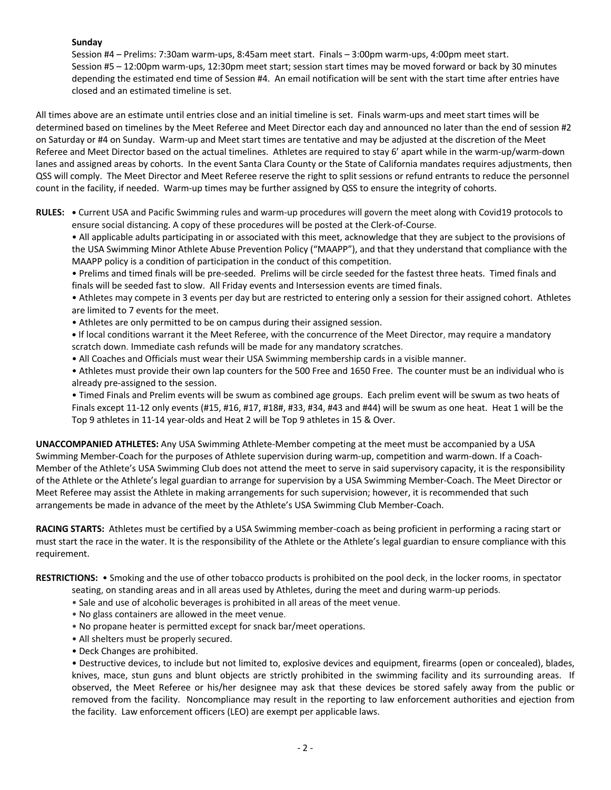# **Sunday**

Session #4 – Prelims: 7:30am warm-ups, 8:45am meet start. Finals – 3:00pm warm-ups, 4:00pm meet start. Session #5 – 12:00pm warm-ups, 12:30pm meet start; session start times may be moved forward or back by 30 minutes depending the estimated end time of Session #4. An email notification will be sent with the start time after entries have closed and an estimated timeline is set.

All times above are an estimate until entries close and an initial timeline is set. Finals warm-ups and meet start times will be determined based on timelines by the Meet Referee and Meet Director each day and announced no later than the end of session #2 on Saturday or #4 on Sunday. Warm-up and Meet start times are tentative and may be adjusted at the discretion of the Meet Referee and Meet Director based on the actual timelines. Athletes are required to stay 6' apart while in the warm-up/warm-down lanes and assigned areas by cohorts. In the event Santa Clara County or the State of California mandates requires adjustments, then QSS will comply. The Meet Director and Meet Referee reserve the right to split sessions or refund entrants to reduce the personnel count in the facility, if needed. Warm-up times may be further assigned by QSS to ensure the integrity of cohorts.

**RULES: •** Current USA and Pacific Swimming rules and warm-up procedures will govern the meet along with Covid19 protocols to ensure social distancing. A copy of these procedures will be posted at the Clerk-of-Course.

• All applicable adults participating in or associated with this meet, acknowledge that they are subject to the provisions of the USA Swimming Minor Athlete Abuse Prevention Policy ("MAAPP"), and that they understand that compliance with the MAAPP policy is a condition of participation in the conduct of this competition.

• Prelims and timed finals will be pre-seeded. Prelims will be circle seeded for the fastest three heats. Timed finals and finals will be seeded fast to slow. All Friday events and Intersession events are timed finals.

• Athletes may compete in 3 events per day but are restricted to entering only a session for their assigned cohort. Athletes are limited to 7 events for the meet.

• Athletes are only permitted to be on campus during their assigned session.

**•** If local conditions warrant it the Meet Referee, with the concurrence of the Meet Director, may require a mandatory scratch down. Immediate cash refunds will be made for any mandatory scratches.

• All Coaches and Officials must wear their USA Swimming membership cards in a visible manner.

• Athletes must provide their own lap counters for the 500 Free and 1650 Free. The counter must be an individual who is already pre-assigned to the session.

• Timed Finals and Prelim events will be swum as combined age groups. Each prelim event will be swum as two heats of Finals except 11-12 only events (#15, #16, #17, #18#, #33, #34, #43 and #44) will be swum as one heat. Heat 1 will be the Top 9 athletes in 11-14 year-olds and Heat 2 will be Top 9 athletes in 15 & Over.

**UNACCOMPANIED ATHLETES:** Any USA Swimming Athlete-Member competing at the meet must be accompanied by a USA Swimming Member-Coach for the purposes of Athlete supervision during warm-up, competition and warm-down. If a Coach-Member of the Athlete's USA Swimming Club does not attend the meet to serve in said supervisory capacity, it is the responsibility of the Athlete or the Athlete's legal guardian to arrange for supervision by a USA Swimming Member-Coach. The Meet Director or Meet Referee may assist the Athlete in making arrangements for such supervision; however, it is recommended that such arrangements be made in advance of the meet by the Athlete's USA Swimming Club Member-Coach.

**RACING STARTS:** Athletes must be certified by a USA Swimming member-coach as being proficient in performing a racing start or must start the race in the water. It is the responsibility of the Athlete or the Athlete's legal guardian to ensure compliance with this requirement.

**RESTRICTIONS:** • Smoking and the use of other tobacco products is prohibited on the pool deck, in the locker rooms, in spectator

- seating, on standing areas and in all areas used by Athletes, during the meet and during warm-up periods.
- Sale and use of alcoholic beverages is prohibited in all areas of the meet venue.
- No glass containers are allowed in the meet venue.
- No propane heater is permitted except for snack bar/meet operations.
- All shelters must be properly secured.
- Deck Changes are prohibited.

• Destructive devices, to include but not limited to, explosive devices and equipment, firearms (open or concealed), blades, knives, mace, stun guns and blunt objects are strictly prohibited in the swimming facility and its surrounding areas. If observed, the Meet Referee or his/her designee may ask that these devices be stored safely away from the public or removed from the facility. Noncompliance may result in the reporting to law enforcement authorities and ejection from the facility. Law enforcement officers (LEO) are exempt per applicable laws.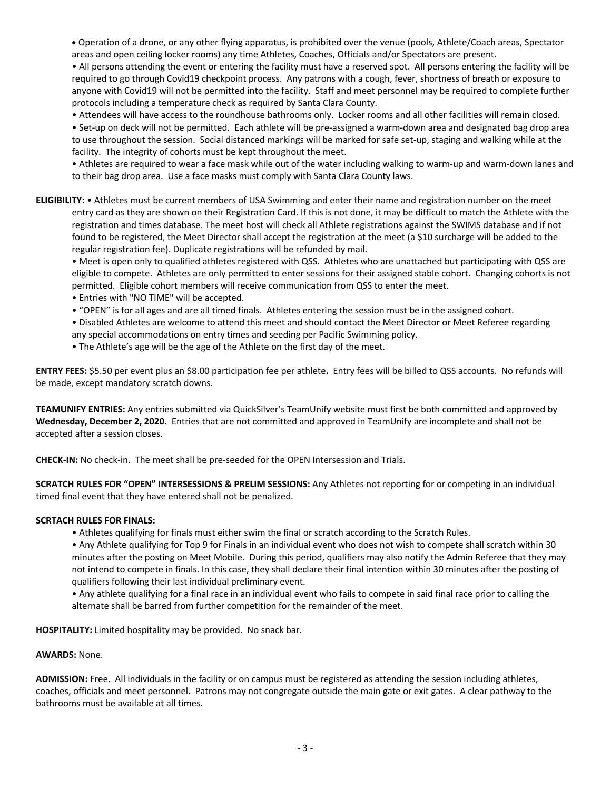• Operation of a drone, or any other flying apparatus, is prohibited over the venue (pools, Athlete/Coach areas, Spectator areas and open ceiling locker rooms) any time Athletes, Coaches, Officials and/or Spectators are present.

• All persons attending the event or entering the facility must have a reserved spot. All persons entering the facility will be required to go through Covid19 checkpoint process. Any patrons with a cough, fever, shortness of breath or exposure to anyone with Covid19 will not be permitted into the facility. Staff and meet personnel may be required to complete further protocols including a temperature check as required by Santa Clara County.

• Attendees will have access to the roundhouse bathrooms only. Locker rooms and all other facilities will remain closed.

• Set-up on deck will not be permitted. Each athlete will be pre-assigned a warm-down area and designated bag drop area to use throughout the session. Social distanced markings will be marked for safe set-up, staging and walking while at the facility. The integrity of cohorts must be kept throughout the meet.

• Athletes are required to wear a face mask while out of the water including walking to warm-up and warm-down lanes and to their bag drop area. Use a face masks must comply with Santa Clara County laws.

**ELIGIBILITY:** • Athletes must be current members of USA Swimming and enter their name and registration number on the meet entry card as they are shown on their Registration Card. If this is not done, it may be difficult to match the Athlete with the registration and times database. The meet host will check all Athlete registrations against the SWIMS database and if not found to be registered, the Meet Director shall accept the registration at the meet (a \$10 surcharge will be added to the regular registration fee). Duplicate registrations will be refunded by mail.

• Meet is open only to qualified athletes registered with QSS. Athletes who are unattached but participating with QSS are eligible to compete. Athletes are only permitted to enter sessions for their assigned stable cohort. Changing cohorts is not permitted. Eligible cohort members will receive communication from QSS to enter the meet.

- Entries with "NO TIME" will be accepted.
- "OPEN" is for all ages and are all timed finals. Athletes entering the session must be in the assigned cohort.

• Disabled Athletes are welcome to attend this meet and should contact the Meet Director or Meet Referee regarding any special accommodations on entry times and seeding per Pacific Swimming policy.

• The Athlete's age will be the age of the Athlete on the first day of the meet.

**ENTRY FEES:** \$5.50 per event plus an \$8.00 participation fee per athlete**.** Entry fees will be billed to QSS accounts. No refunds will be made, except mandatory scratch downs.

**TEAMUNIFY ENTRIES:** Any entries submitted via QuickSilver's TeamUnify website must first be both committed and approved by **Wednesday, December 2, 2020.** Entries that are not committed and approved in TeamUnify are incomplete and shall not be accepted after a session closes.

**CHECK-IN:** No check-in. The meet shall be pre-seeded for the OPEN Intersession and Trials.

**SCRATCH RULES FOR "OPEN" INTERSESSIONS & PRELIM SESSIONS:** Any Athletes not reporting for or competing in an individual timed final event that they have entered shall not be penalized.

#### **SCRTACH RULES FOR FINALS:**

• Athletes qualifying for finals must either swim the final or scratch according to the Scratch Rules.

• Any Athlete qualifying for Top 9 for Finals in an individual event who does not wish to compete shall scratch within 30 minutes after the posting on Meet Mobile. During this period, qualifiers may also notify the Admin Referee that they may not intend to compete in finals. In this case, they shall declare their final intention within 30 minutes after the posting of qualifiers following their last individual preliminary event.

• Any athlete qualifying for a final race in an individual event who fails to compete in said final race prior to calling the alternate shall be barred from further competition for the remainder of the meet.

**HOSPITALITY:** Limited hospitality may be provided. No snack bar.

#### **AWARDS:** None.

**ADMISSION:** Free. All individuals in the facility or on campus must be registered as attending the session including athletes, coaches, officials and meet personnel. Patrons may not congregate outside the main gate or exit gates. A clear pathway to the bathrooms must be available at all times.